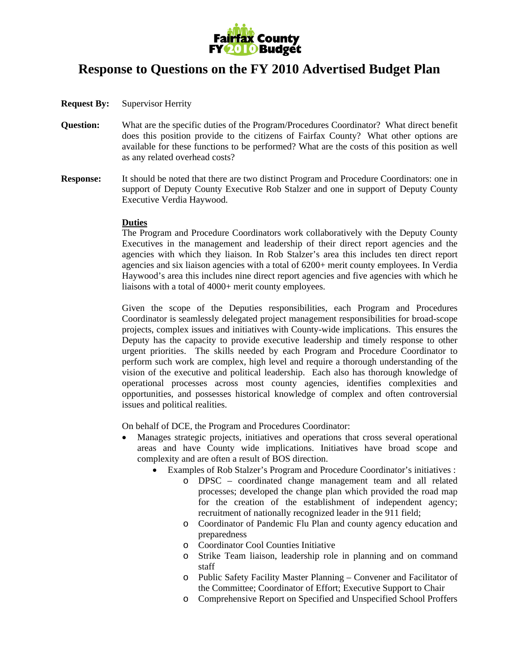

# **Response to Questions on the FY 2010 Advertised Budget Plan**

- **Request By:** Supervisor Herrity
- **Question:** What are the specific duties of the Program/Procedures Coordinator? What direct benefit does this position provide to the citizens of Fairfax County? What other options are available for these functions to be performed? What are the costs of this position as well as any related overhead costs?
- **Response:** It should be noted that there are two distinct Program and Procedure Coordinators: one in support of Deputy County Executive Rob Stalzer and one in support of Deputy County Executive Verdia Haywood.

## **Duties**

The Program and Procedure Coordinators work collaboratively with the Deputy County Executives in the management and leadership of their direct report agencies and the agencies with which they liaison. In Rob Stalzer's area this includes ten direct report agencies and six liaison agencies with a total of 6200+ merit county employees. In Verdia Haywood's area this includes nine direct report agencies and five agencies with which he liaisons with a total of 4000+ merit county employees.

Given the scope of the Deputies responsibilities, each Program and Procedures Coordinator is seamlessly delegated project management responsibilities for broad-scope projects, complex issues and initiatives with County-wide implications. This ensures the Deputy has the capacity to provide executive leadership and timely response to other urgent priorities. The skills needed by each Program and Procedure Coordinator to perform such work are complex, high level and require a thorough understanding of the vision of the executive and political leadership. Each also has thorough knowledge of operational processes across most county agencies, identifies complexities and opportunities, and possesses historical knowledge of complex and often controversial issues and political realities.

On behalf of DCE, the Program and Procedures Coordinator:

- Manages strategic projects, initiatives and operations that cross several operational areas and have County wide implications. Initiatives have broad scope and complexity and are often a result of BOS direction.
	- Examples of Rob Stalzer's Program and Procedure Coordinator's initiatives :
		- o DPSC coordinated change management team and all related processes; developed the change plan which provided the road map for the creation of the establishment of independent agency; recruitment of nationally recognized leader in the 911 field;
		- o Coordinator of Pandemic Flu Plan and county agency education and preparedness
		- o Coordinator Cool Counties Initiative
		- o Strike Team liaison, leadership role in planning and on command staff
		- o Public Safety Facility Master Planning Convener and Facilitator of the Committee; Coordinator of Effort; Executive Support to Chair
		- o Comprehensive Report on Specified and Unspecified School Proffers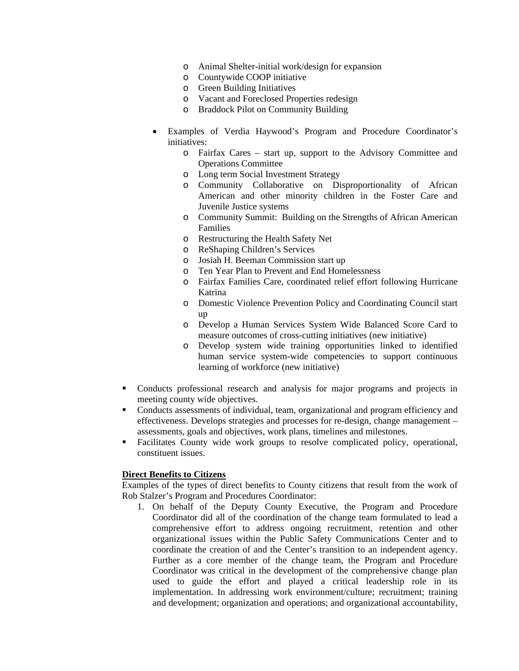- o Animal Shelter-initial work/design for expansion
- o Countywide COOP initiative
- o Green Building Initiatives
- o Vacant and Foreclosed Properties redesign
- o Braddock Pilot on Community Building
- Examples of Verdia Haywood's Program and Procedure Coordinator's initiatives:
	- o Fairfax Cares start up, support to the Advisory Committee and Operations Committee
	- o Long term Social Investment Strategy
	- o Community Collaborative on Disproportionality of African American and other minority children in the Foster Care and Juvenile Justice systems
	- o Community Summit: Building on the Strengths of African American Families
	- o Restructuring the Health Safety Net
	- o ReShaping Children's Services
	- o Josiah H. Beeman Commission start up
	- o Ten Year Plan to Prevent and End Homelessness
	- o Fairfax Families Care, coordinated relief effort following Hurricane Katrina
	- o Domestic Violence Prevention Policy and Coordinating Council start up
	- o Develop a Human Services System Wide Balanced Score Card to measure outcomes of cross-cutting initiatives (new initiative)
	- o Develop system wide training opportunities linked to identified human service system-wide competencies to support continuous learning of workforce (new initiative)
- Conducts professional research and analysis for major programs and projects in meeting county wide objectives.
- Conducts assessments of individual, team, organizational and program efficiency and effectiveness. Develops strategies and processes for re-design, change management – assessments, goals and objectives, work plans, timelines and milestones.
- Facilitates County wide work groups to resolve complicated policy, operational, constituent issues.

# **Direct Benefits to Citizens**

Examples of the types of direct benefits to County citizens that result from the work of Rob Stalzer's Program and Procedures Coordinator:

1. On behalf of the Deputy County Executive, the Program and Procedure Coordinator did all of the coordination of the change team formulated to lead a comprehensive effort to address ongoing recruitment, retention and other organizational issues within the Public Safety Communications Center and to coordinate the creation of and the Center's transition to an independent agency. Further as a core member of the change team, the Program and Procedure Coordinator was critical in the development of the comprehensive change plan used to guide the effort and played a critical leadership role in its implementation. In addressing work environment/culture; recruitment; training and development; organization and operations; and organizational accountability,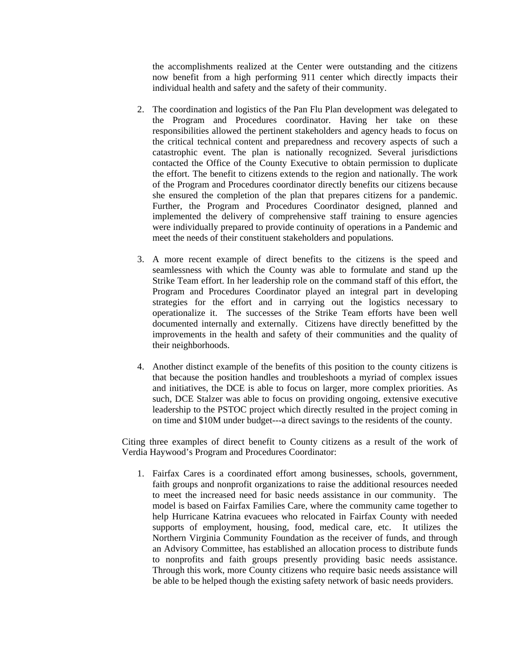the accomplishments realized at the Center were outstanding and the citizens now benefit from a high performing 911 center which directly impacts their individual health and safety and the safety of their community.

- 2. The coordination and logistics of the Pan Flu Plan development was delegated to the Program and Procedures coordinator. Having her take on these responsibilities allowed the pertinent stakeholders and agency heads to focus on the critical technical content and preparedness and recovery aspects of such a catastrophic event. The plan is nationally recognized. Several jurisdictions contacted the Office of the County Executive to obtain permission to duplicate the effort. The benefit to citizens extends to the region and nationally. The work of the Program and Procedures coordinator directly benefits our citizens because she ensured the completion of the plan that prepares citizens for a pandemic. Further, the Program and Procedures Coordinator designed, planned and implemented the delivery of comprehensive staff training to ensure agencies were individually prepared to provide continuity of operations in a Pandemic and meet the needs of their constituent stakeholders and populations.
- 3. A more recent example of direct benefits to the citizens is the speed and seamlessness with which the County was able to formulate and stand up the Strike Team effort. In her leadership role on the command staff of this effort, the Program and Procedures Coordinator played an integral part in developing strategies for the effort and in carrying out the logistics necessary to operationalize it. The successes of the Strike Team efforts have been well documented internally and externally. Citizens have directly benefitted by the improvements in the health and safety of their communities and the quality of their neighborhoods.
- 4. Another distinct example of the benefits of this position to the county citizens is that because the position handles and troubleshoots a myriad of complex issues and initiatives, the DCE is able to focus on larger, more complex priorities. As such, DCE Stalzer was able to focus on providing ongoing, extensive executive leadership to the PSTOC project which directly resulted in the project coming in on time and \$10M under budget---a direct savings to the residents of the county.

Citing three examples of direct benefit to County citizens as a result of the work of Verdia Haywood's Program and Procedures Coordinator:

1. Fairfax Cares is a coordinated effort among businesses, schools, government, faith groups and nonprofit organizations to raise the additional resources needed to meet the increased need for basic needs assistance in our community. The model is based on Fairfax Families Care, where the community came together to help Hurricane Katrina evacuees who relocated in Fairfax County with needed supports of employment, housing, food, medical care, etc. It utilizes the Northern Virginia Community Foundation as the receiver of funds, and through an Advisory Committee, has established an allocation process to distribute funds to nonprofits and faith groups presently providing basic needs assistance. Through this work, more County citizens who require basic needs assistance will be able to be helped though the existing safety network of basic needs providers.